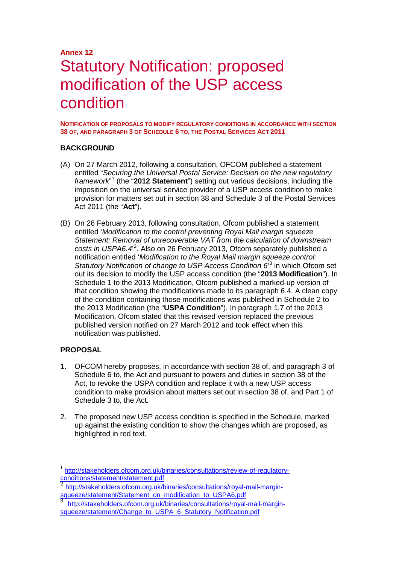# **Annex 12** Statutory Notification: proposed modification of the USP access condition

**NOTIFICATION OF PROPOSALS TO MODIFY REGULATORY CONDITIONS IN ACCORDANCE WITH SECTION 38 OF, AND PARAGRAPH 3 OF SCHEDULE 6 TO, THE POSTAL SERVICES ACT 2011**

#### **BACKGROUND**

- (A) On 27 March 2012, following a consultation, OFCOM published a statement entitled "*Securing the Universal Postal Service: Decision on the new regulatory framework*" [1](#page-0-0) (the "**2012 Statement**") setting out various decisions, including the imposition on the universal service provider of a USP access condition to make provision for matters set out in section 38 and Schedule 3 of the Postal Services Act 2011 (the "**Act**").
- (B) On 26 February 2013, following consultation, Ofcom published a statement entitled '*Modification to the control preventing Royal Mail margin squeeze Statement: Removal of unrecoverable VAT from the calculation of downstream*  costs in USPA6.4<sup>[2](#page-0-1)</sup>. Also on 26 February 2013, Ofcom separately published a notification entitled '*Modification to the Royal Mail margin squeeze control:*  Statutory Notification of change to USP Access Condition 6<sup>[3](#page-0-2)</sup> in which Ofcom set out its decision to modify the USP access condition (the "**2013 Modification**"). In Schedule 1 to the 2013 Modification, Ofcom published a marked-up version of that condition showing the modifications made to its paragraph 6.4. A clean copy of the condition containing those modifications was published in Schedule 2 to the 2013 Modification (the "**USPA Condition**"). In paragraph 1.7 of the 2013 Modification, Ofcom stated that this revised version replaced the previous published version notified on 27 March 2012 and took effect when this notification was published.

#### **PROPOSAL**

- 1. OFCOM hereby proposes, in accordance with section 38 of, and paragraph 3 of Schedule 6 to, the Act and pursuant to powers and duties in section 38 of the Act, to revoke the USPA condition and replace it with a new USP access condition to make provision about matters set out in section 38 of, and Part 1 of Schedule 3 to, the Act.
- 2. The proposed new USP access condition is specified in the Schedule, marked up against the existing condition to show the changes which are proposed, as highlighted in red text.

<span id="page-0-0"></span>[http://stakeholders.ofcom.org.uk/binaries/consultations/review-of-regulatory](http://stakeholders.ofcom.org.uk/binaries/consultations/review-of-regulatory-conditions/statement/statement.pdf)[conditions/statement/statement.pdf](http://stakeholders.ofcom.org.uk/binaries/consultations/review-of-regulatory-conditions/statement/statement.pdf)<br>
2 http://stat

<span id="page-0-1"></span>[http://stakeholders.ofcom.org.uk/binaries/consultations/royal-mail-margin](http://stakeholders.ofcom.org.uk/binaries/consultations/royal-mail-margin-squeeze/statement/Statement_on_modification_to_USPA6.pdf)squeeze/statement/Statement\_on\_modification\_to\_USPA6.pdf

<span id="page-0-2"></span>[http://stakeholders.ofcom.org.uk/binaries/consultations/royal-mail-margin](http://stakeholders.ofcom.org.uk/binaries/consultations/royal-mail-margin-squeeze/statement/Change_to_USPA_6_Statutory_Notification.pdf)squeeze/statement/Change\_to\_USPA\_6\_Statutory\_Notification.pdf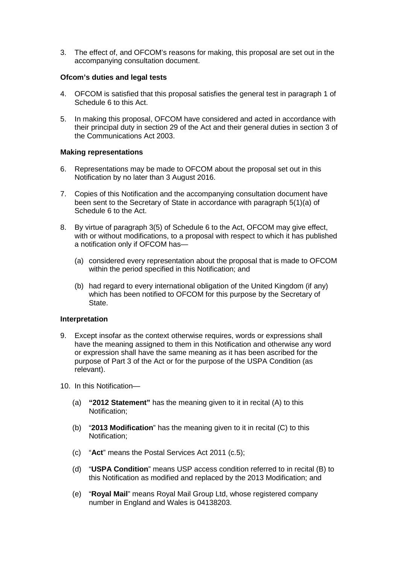3. The effect of, and OFCOM's reasons for making, this proposal are set out in the accompanying consultation document.

#### **Ofcom's duties and legal tests**

- 4. OFCOM is satisfied that this proposal satisfies the general test in paragraph 1 of Schedule 6 to this Act.
- 5. In making this proposal, OFCOM have considered and acted in accordance with their principal duty in section 29 of the Act and their general duties in section 3 of the Communications Act 2003.

#### **Making representations**

- 6. Representations may be made to OFCOM about the proposal set out in this Notification by no later than 3 August 2016.
- 7. Copies of this Notification and the accompanying consultation document have been sent to the Secretary of State in accordance with paragraph 5(1)(a) of Schedule 6 to the Act.
- 8. By virtue of paragraph 3(5) of Schedule 6 to the Act, OFCOM may give effect, with or without modifications, to a proposal with respect to which it has published a notification only if OFCOM has—
	- (a) considered every representation about the proposal that is made to OFCOM within the period specified in this Notification; and
	- (b) had regard to every international obligation of the United Kingdom (if any) which has been notified to OFCOM for this purpose by the Secretary of State.

#### **Interpretation**

- 9. Except insofar as the context otherwise requires, words or expressions shall have the meaning assigned to them in this Notification and otherwise any word or expression shall have the same meaning as it has been ascribed for the purpose of Part 3 of the Act or for the purpose of the USPA Condition (as relevant).
- 10. In this Notification—
	- (a) **"2012 Statement"** has the meaning given to it in recital (A) to this Notification;
	- (b) "**2013 Modification**" has the meaning given to it in recital (C) to this Notification;
	- (c) "**Act**" means the Postal Services Act 2011 (c.5);
	- (d) "**USPA Condition**" means USP access condition referred to in recital (B) to this Notification as modified and replaced by the 2013 Modification; and
	- (e) "**Royal Mail**" means Royal Mail Group Ltd, whose registered company number in England and Wales is 04138203.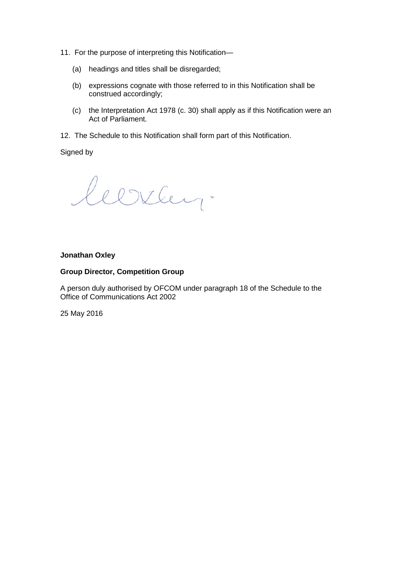- 11. For the purpose of interpreting this Notification—
	- (a) headings and titles shall be disregarded;
	- (b) expressions cognate with those referred to in this Notification shall be construed accordingly;
	- (c) the Interpretation Act 1978 (c. 30) shall apply as if this Notification were an Act of Parliament.
- 12. The Schedule to this Notification shall form part of this Notification.

Signed by

leerley.

#### **Jonathan Oxley**

#### **Group Director, Competition Group**

A person duly authorised by OFCOM under paragraph 18 of the Schedule to the Office of Communications Act 2002

25 May 2016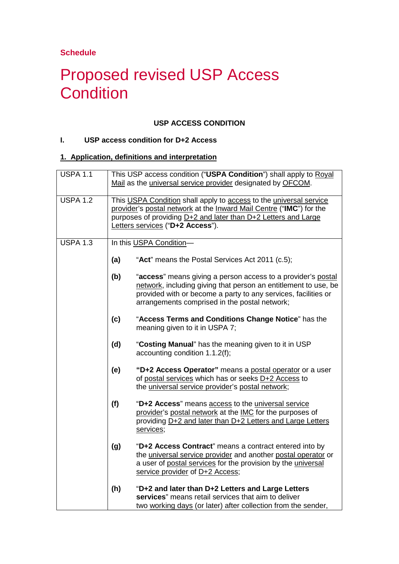**Schedule**

# Proposed revised USP Access **Condition**

## **USP ACCESS CONDITION**

## **I. USP access condition for D+2 Access**

#### **1. Application, definitions and interpretation**

| <b>USPA 1.1</b> |     | This USP access condition ("USPA Condition") shall apply to Royal<br>Mail as the universal service provider designated by OFCOM.                                                                                                                   |
|-----------------|-----|----------------------------------------------------------------------------------------------------------------------------------------------------------------------------------------------------------------------------------------------------|
| <b>USPA 1.2</b> |     | This USPA Condition shall apply to access to the universal service<br>provider's postal network at the Inward Mail Centre ("IMC") for the<br>purposes of providing D+2 and later than D+2 Letters and Large<br>Letters services ("D+2 Access").    |
| <b>USPA 1.3</b> |     | In this USPA Condition-                                                                                                                                                                                                                            |
|                 | (a) | "Act" means the Postal Services Act 2011 (c.5);                                                                                                                                                                                                    |
|                 | (b) | "access" means giving a person access to a provider's postal<br>network, including giving that person an entitlement to use, be<br>provided with or become a party to any services, facilities or<br>arrangements comprised in the postal network; |
|                 | (c) | "Access Terms and Conditions Change Notice" has the<br>meaning given to it in USPA 7;                                                                                                                                                              |
|                 | (d) | "Costing Manual" has the meaning given to it in USP<br>accounting condition 1.1.2(f);                                                                                                                                                              |
|                 | (e) | "D+2 Access Operator" means a postal operator or a user<br>of postal services which has or seeks D+2 Access to<br>the universal service provider's postal network;                                                                                 |
|                 | (f) | "D+2 Access" means access to the universal service<br>provider's postal network at the IMC for the purposes of<br>providing D+2 and later than D+2 Letters and Large Letters<br>services;                                                          |
|                 | (g) | "D+2 Access Contract" means a contract entered into by<br>the universal service provider and another postal operator or<br>a user of postal services for the provision by the universal<br>service provider of D+2 Access;                         |
|                 | (h) | "D+2 and later than D+2 Letters and Large Letters<br>services" means retail services that aim to deliver<br>two working days (or later) after collection from the sender,                                                                          |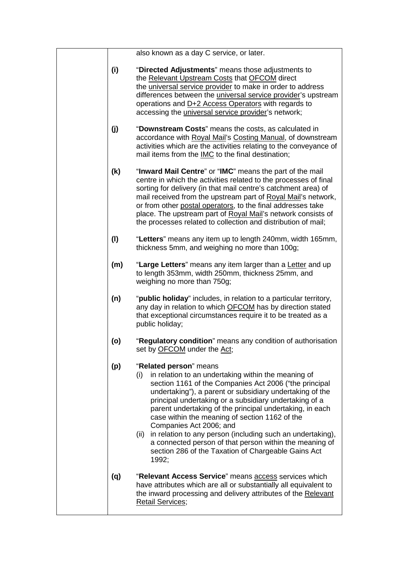| also known as a day C service, or later. |  |  |  |
|------------------------------------------|--|--|--|
|------------------------------------------|--|--|--|

- **(i)** "**Directed Adjustments**" means those adjustments to the Relevant Upstream Costs that OFCOM direct the universal service provider to make in order to address differences between the universal service provider's upstream operations and D+2 Access Operators with regards to accessing the universal service provider's network;
- **(j)** "**Downstream Costs**" means the costs, as calculated in accordance with Royal Mail's Costing Manual, of downstream activities which are the activities relating to the conveyance of mail items from the IMC to the final destination;
- **(k)** "**Inward Mail Centre**" or "**IMC**" means the part of the mail centre in which the activities related to the processes of final sorting for delivery (in that mail centre's catchment area) of mail received from the upstream part of Royal Mail's network, or from other postal operators, to the final addresses take place. The upstream part of Royal Mail's network consists of the processes related to collection and distribution of mail;
- **(l)** "**Letters**" means any item up to length 240mm, width 165mm, thickness 5mm, and weighing no more than 100g;
- **(m)** "**Large Letters**" means any item larger than a Letter and up to length 353mm, width 250mm, thickness 25mm, and weighing no more than 750g;
- **(n)** "**public holiday**" includes, in relation to a particular territory, any day in relation to which OFCOM has by direction stated that exceptional circumstances require it to be treated as a public holiday;
- **(o)** "**Regulatory condition**" means any condition of authorisation set by OFCOM under the Act;

## **(p)** "**Related person**" means

- (i) in relation to an undertaking within the meaning of section 1161 of the Companies Act 2006 ("the principal undertaking"), a parent or subsidiary undertaking of the principal undertaking or a subsidiary undertaking of a parent undertaking of the principal undertaking, in each case within the meaning of section 1162 of the Companies Act 2006; and
- (ii) in relation to any person (including such an undertaking), a connected person of that person within the meaning of section 286 of the Taxation of Chargeable Gains Act 1992;
- **(q)** "**Relevant Access Service**" means access services which have attributes which are all or substantially all equivalent to the inward processing and delivery attributes of the Relevant Retail Services;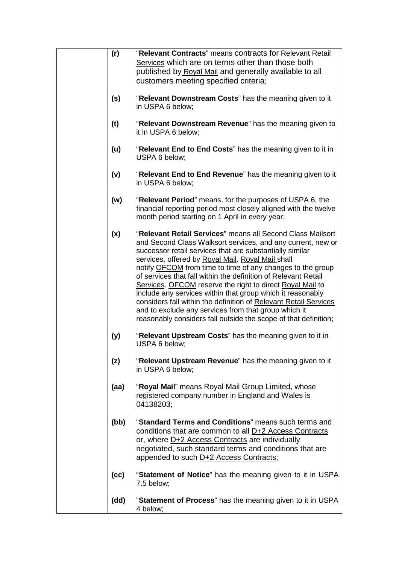| (r)  | "Relevant Contracts" means contracts for Relevant Retail<br>Services which are on terms other than those both<br>published by Royal Mail and generally available to all<br>customers meeting specified criteria;                                                                                                                                                                                                                                                                                                                                                                                                                                                                                            |
|------|-------------------------------------------------------------------------------------------------------------------------------------------------------------------------------------------------------------------------------------------------------------------------------------------------------------------------------------------------------------------------------------------------------------------------------------------------------------------------------------------------------------------------------------------------------------------------------------------------------------------------------------------------------------------------------------------------------------|
| (s)  | "Relevant Downstream Costs" has the meaning given to it<br>in USPA 6 below;                                                                                                                                                                                                                                                                                                                                                                                                                                                                                                                                                                                                                                 |
| (t)  | "Relevant Downstream Revenue" has the meaning given to<br>it in USPA 6 below;                                                                                                                                                                                                                                                                                                                                                                                                                                                                                                                                                                                                                               |
| (u)  | "Relevant End to End Costs" has the meaning given to it in<br>USPA 6 below;                                                                                                                                                                                                                                                                                                                                                                                                                                                                                                                                                                                                                                 |
| (v)  | "Relevant End to End Revenue" has the meaning given to it<br>in USPA 6 below;                                                                                                                                                                                                                                                                                                                                                                                                                                                                                                                                                                                                                               |
| (w)  | "Relevant Period" means, for the purposes of USPA 6, the<br>financial reporting period most closely aligned with the twelve<br>month period starting on 1 April in every year;                                                                                                                                                                                                                                                                                                                                                                                                                                                                                                                              |
| (x)  | "Relevant Retail Services" means all Second Class Mailsort<br>and Second Class Walksort services, and any current, new or<br>successor retail services that are substantially similar<br>services, offered by Royal Mail. Royal Mail shall<br>notify <b>OFCOM</b> from time to time of any changes to the group<br>of services that fall within the definition of Relevant Retail<br>Services. OFCOM reserve the right to direct Royal Mail to<br>include any services within that group which it reasonably<br>considers fall within the definition of Relevant Retail Services<br>and to exclude any services from that group which it<br>reasonably considers fall outside the scope of that definition; |
| (y)  | "Relevant Upstream Costs" has the meaning given to it in<br>USPA 6 below;                                                                                                                                                                                                                                                                                                                                                                                                                                                                                                                                                                                                                                   |
| (z)  | "Relevant Upstream Revenue" has the meaning given to it<br>in USPA 6 below;                                                                                                                                                                                                                                                                                                                                                                                                                                                                                                                                                                                                                                 |
| (aa) | "Royal Mail" means Royal Mail Group Limited, whose<br>registered company number in England and Wales is<br>04138203;                                                                                                                                                                                                                                                                                                                                                                                                                                                                                                                                                                                        |
| (bb) | "Standard Terms and Conditions" means such terms and<br>conditions that are common to all D+2 Access Contracts<br>or, where D+2 Access Contracts are individually<br>negotiated, such standard terms and conditions that are<br>appended to such D+2 Access Contracts;                                                                                                                                                                                                                                                                                                                                                                                                                                      |
| (cc) | "Statement of Notice" has the meaning given to it in USPA<br>7.5 below;                                                                                                                                                                                                                                                                                                                                                                                                                                                                                                                                                                                                                                     |
| (dd) | "Statement of Process" has the meaning given to it in USPA<br>4 below;                                                                                                                                                                                                                                                                                                                                                                                                                                                                                                                                                                                                                                      |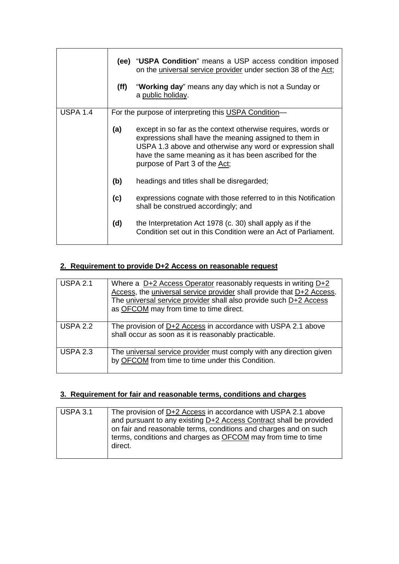|                 | (ff) | (ee) "USPA Condition" means a USP access condition imposed<br>on the universal service provider under section 38 of the Act;<br>"Working day" means any day which is not a Sunday or<br>a public holiday.                                                                     |
|-----------------|------|-------------------------------------------------------------------------------------------------------------------------------------------------------------------------------------------------------------------------------------------------------------------------------|
| <b>USPA 1.4</b> |      | For the purpose of interpreting this USPA Condition-                                                                                                                                                                                                                          |
|                 | (a)  | except in so far as the context otherwise requires, words or<br>expressions shall have the meaning assigned to them in<br>USPA 1.3 above and otherwise any word or expression shall<br>have the same meaning as it has been ascribed for the<br>purpose of Part 3 of the Act; |
|                 | (b)  | headings and titles shall be disregarded;                                                                                                                                                                                                                                     |
|                 | (c)  | expressions cognate with those referred to in this Notification<br>shall be construed accordingly; and                                                                                                                                                                        |
|                 | (d)  | the Interpretation Act 1978 (c. 30) shall apply as if the<br>Condition set out in this Condition were an Act of Parliament.                                                                                                                                                   |

# **2. Requirement to provide D+2 Access on reasonable request**

| <b>USPA 2.1</b> | Where a D+2 Access Operator reasonably requests in writing D+2<br>Access, the universal service provider shall provide that D+2 Access.<br>The universal service provider shall also provide such D+2 Access<br>as OFCOM may from time to time direct. |
|-----------------|--------------------------------------------------------------------------------------------------------------------------------------------------------------------------------------------------------------------------------------------------------|
| <b>USPA 2.2</b> | The provision of $D+2$ Access in accordance with USPA 2.1 above<br>shall occur as soon as it is reasonably practicable.                                                                                                                                |
| <b>USPA 2.3</b> | The universal service provider must comply with any direction given<br>by OFCOM from time to time under this Condition.                                                                                                                                |

# **3. Requirement for fair and reasonable terms, conditions and charges**

| l USPA 3.1 | The provision of D+2 Access in accordance with USPA 2.1 above<br>and pursuant to any existing D+2 Access Contract shall be provided<br>on fair and reasonable terms, conditions and charges and on such<br>terms, conditions and charges as OFCOM may from time to time |
|------------|-------------------------------------------------------------------------------------------------------------------------------------------------------------------------------------------------------------------------------------------------------------------------|
|            | direct.                                                                                                                                                                                                                                                                 |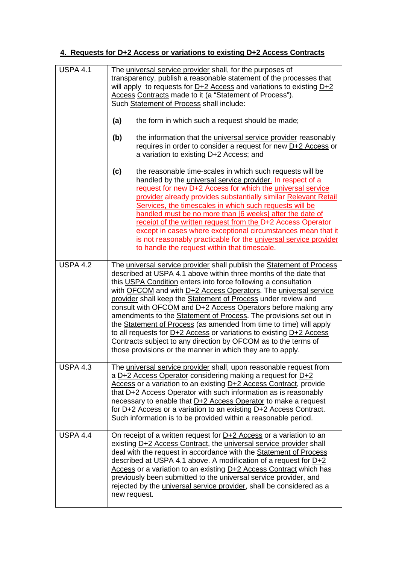# **4. Requests for D+2 Access or variations to existing D+2 Access Contracts**

| <b>USPA 4.1</b> | The universal service provider shall, for the purposes of<br>transparency, publish a reasonable statement of the processes that<br>will apply to requests for $D+2$ Access and variations to existing $D+2$<br>Access Contracts made to it (a "Statement of Process").<br>Such Statement of Process shall include:                                                                                                                                                                                                                                                                                                                                                                                                                                                     |
|-----------------|------------------------------------------------------------------------------------------------------------------------------------------------------------------------------------------------------------------------------------------------------------------------------------------------------------------------------------------------------------------------------------------------------------------------------------------------------------------------------------------------------------------------------------------------------------------------------------------------------------------------------------------------------------------------------------------------------------------------------------------------------------------------|
|                 | (a)<br>the form in which such a request should be made;<br>the information that the <i>universal service provider</i> reasonably<br>(b)<br>requires in order to consider a request for new D+2 Access or<br>a variation to existing D+2 Access; and                                                                                                                                                                                                                                                                                                                                                                                                                                                                                                                    |
|                 | (c)<br>the reasonable time-scales in which such requests will be<br>handled by the universal service provider. In respect of a<br>request for new D+2 Access for which the <i>universal service</i><br>provider already provides substantially similar Relevant Retail<br>Services, the timescales in which such requests will be<br>handled must be no more than [6 weeks] after the date of<br>receipt of the written request from the D+2 Access Operator<br>except in cases where exceptional circumstances mean that it<br>is not reasonably practicable for the <i>universal service provider</i><br>to handle the request within that timescale.                                                                                                                |
| <b>USPA 4.2</b> | The universal service provider shall publish the Statement of Process<br>described at USPA 4.1 above within three months of the date that<br>this USPA Condition enters into force following a consultation<br>with OFCOM and with D+2 Access Operators. The universal service<br>provider shall keep the Statement of Process under review and<br>consult with OFCOM and D+2 Access Operators before making any<br>amendments to the Statement of Process. The provisions set out in<br>the Statement of Process (as amended from time to time) will apply<br>to all requests for $D+2$ Access or variations to existing $D+2$ Access<br>Contracts subject to any direction by OFCOM as to the terms of<br>those provisions or the manner in which they are to apply. |
| <b>USPA 4.3</b> | The universal service provider shall, upon reasonable request from<br>a D+2 Access Operator considering making a request for D+2<br>Access or a variation to an existing D+2 Access Contract, provide<br>that D+2 Access Operator with such information as is reasonably<br>necessary to enable that D+2 Access Operator to make a request<br>for D+2 Access or a variation to an existing D+2 Access Contract.<br>Such information is to be provided within a reasonable period.                                                                                                                                                                                                                                                                                      |
| <b>USPA 4.4</b> | On receipt of a written request for <b>D+2</b> Access or a variation to an<br>existing D+2 Access Contract, the universal service provider shall<br>deal with the request in accordance with the Statement of Process<br>described at USPA 4.1 above. A modification of a request for $D+2$<br>Access or a variation to an existing D+2 Access Contract which has<br>previously been submitted to the <i>universal service provider</i> , and<br>rejected by the <i>universal service provider</i> , shall be considered as a<br>new request.                                                                                                                                                                                                                          |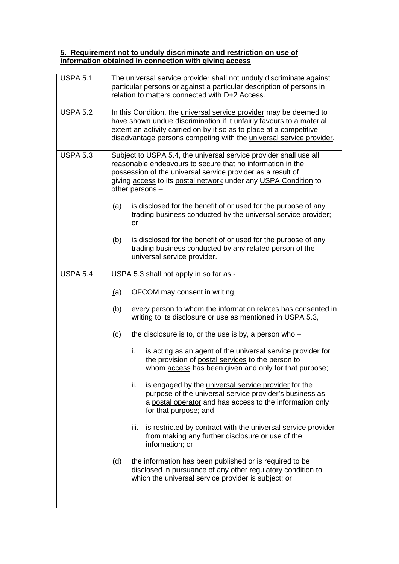#### **5. Requirement not to unduly discriminate and restriction on use of information obtained in connection with giving access**

| <b>USPA 5.1</b> | The universal service provider shall not unduly discriminate against<br>particular persons or against a particular description of persons in<br>relation to matters connected with D+2 Access.                                                                                                          |  |
|-----------------|---------------------------------------------------------------------------------------------------------------------------------------------------------------------------------------------------------------------------------------------------------------------------------------------------------|--|
| <b>USPA 5.2</b> | In this Condition, the <i>universal service provider</i> may be deemed to<br>have shown undue discrimination if it unfairly favours to a material<br>extent an activity carried on by it so as to place at a competitive<br>disadvantage persons competing with the <i>universal service provider</i> . |  |
| <b>USPA 5.3</b> | Subject to USPA 5.4, the <i>universal service provider</i> shall use all<br>reasonable endeavours to secure that no information in the<br>possession of the <i>universal service provider</i> as a result of<br>giving access to its postal network under any USPA Condition to<br>other persons -      |  |
|                 | is disclosed for the benefit of or used for the purpose of any<br>(a)<br>trading business conducted by the universal service provider;<br>or                                                                                                                                                            |  |
|                 | is disclosed for the benefit of or used for the purpose of any<br>(b)<br>trading business conducted by any related person of the<br>universal service provider.                                                                                                                                         |  |
| <b>USPA 5.4</b> | USPA 5.3 shall not apply in so far as -                                                                                                                                                                                                                                                                 |  |
|                 | OFCOM may consent in writing,<br>(a)                                                                                                                                                                                                                                                                    |  |
|                 | every person to whom the information relates has consented in<br>(b)<br>writing to its disclosure or use as mentioned in USPA 5.3,                                                                                                                                                                      |  |
|                 | (c)<br>the disclosure is to, or the use is by, a person who $-$                                                                                                                                                                                                                                         |  |
|                 | is acting as an agent of the <i>universal service provider</i> for<br>i.<br>the provision of postal services to the person to<br>whom access has been given and only for that purpose;                                                                                                                  |  |
|                 | ii.<br>is engaged by the <i>universal service</i> provider for the<br>purpose of the <i>universal service provider's</i> business as<br>a postal operator and has access to the information only<br>for that purpose; and                                                                               |  |
|                 | is restricted by contract with the <i>universal service</i> provider<br>iii.<br>from making any further disclosure or use of the<br>information; or                                                                                                                                                     |  |
|                 | (d)<br>the information has been published or is required to be<br>disclosed in pursuance of any other regulatory condition to<br>which the universal service provider is subject; or                                                                                                                    |  |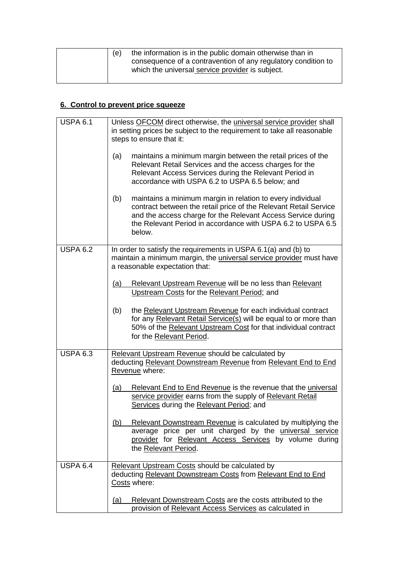| (e) | the information is in the public domain otherwise than in     |
|-----|---------------------------------------------------------------|
|     | consequence of a contravention of any regulatory condition to |
|     | which the universal service provider is subject.              |
|     |                                                               |

# **6. Control to prevent price squeeze**

| <b>USPA 6.1</b> | Unless OFCOM direct otherwise, the universal service provider shall<br>in setting prices be subject to the requirement to take all reasonable<br>steps to ensure that it:                                                                                                      |
|-----------------|--------------------------------------------------------------------------------------------------------------------------------------------------------------------------------------------------------------------------------------------------------------------------------|
|                 | maintains a minimum margin between the retail prices of the<br>(a)<br>Relevant Retail Services and the access charges for the<br>Relevant Access Services during the Relevant Period in<br>accordance with USPA 6.2 to USPA 6.5 below; and                                     |
|                 | maintains a minimum margin in relation to every individual<br>(b)<br>contract between the retail price of the Relevant Retail Service<br>and the access charge for the Relevant Access Service during<br>the Relevant Period in accordance with USPA 6.2 to USPA 6.5<br>below. |
| <b>USPA 6.2</b> | In order to satisfy the requirements in USPA 6.1(a) and (b) to<br>maintain a minimum margin, the <i>universal service provider</i> must have<br>a reasonable expectation that:                                                                                                 |
|                 | Relevant Upstream Revenue will be no less than Relevant<br>(a)<br>Upstream Costs for the Relevant Period; and                                                                                                                                                                  |
|                 | (b)<br>the Relevant Upstream Revenue for each individual contract<br>for any Relevant Retail Service(s) will be equal to or more than<br>50% of the Relevant Upstream Cost for that individual contract<br>for the Relevant Period.                                            |
| <b>USPA 6.3</b> | Relevant Upstream Revenue should be calculated by<br>deducting Relevant Downstream Revenue from Relevant End to End<br>Revenue where:                                                                                                                                          |
|                 | Relevant End to End Revenue is the revenue that the universal<br>(a)<br>service provider earns from the supply of Relevant Retail<br>Services during the Relevant Period; and                                                                                                  |
|                 | <u>(b)</u><br><b>Relevant Downstream Revenue is calculated by multiplying the</b><br>average price per unit charged by the universal service<br>provider for Relevant Access Services by volume during<br>the Relevant Period.                                                 |
| <b>USPA 6.4</b> | Relevant Upstream Costs should be calculated by<br>deducting Relevant Downstream Costs from Relevant End to End<br>Costs where:                                                                                                                                                |
|                 | Relevant Downstream Costs are the costs attributed to the<br><u>(a)</u><br>provision of Relevant Access Services as calculated in                                                                                                                                              |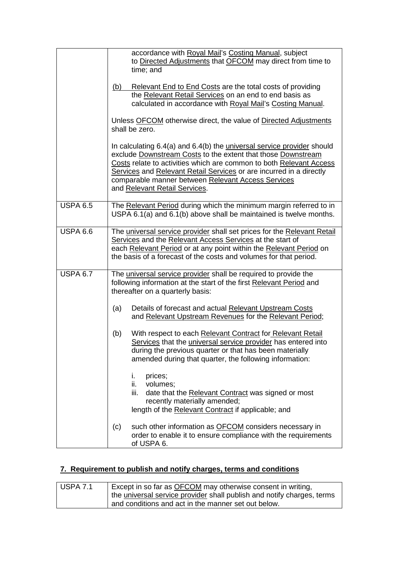|                       | accordance with Royal Mail's Costing Manual, subject<br>to Directed Adjustments that OFCOM may direct from time to<br>time; and<br>Relevant End to End Costs are the total costs of providing<br>(b)<br>the Relevant Retail Services on an end to end basis as<br>calculated in accordance with Royal Mail's Costing Manual.<br>Unless OFCOM otherwise direct, the value of Directed Adjustments<br>shall be zero.<br>In calculating 6.4(a) and 6.4(b) the <i>universal service provider</i> should<br>exclude Downstream Costs to the extent that those Downstream<br>Costs relate to activities which are common to both Relevant Access<br>Services and Relevant Retail Services or are incurred in a directly<br>comparable manner between Relevant Access Services<br>and Relevant Retail Services. |
|-----------------------|----------------------------------------------------------------------------------------------------------------------------------------------------------------------------------------------------------------------------------------------------------------------------------------------------------------------------------------------------------------------------------------------------------------------------------------------------------------------------------------------------------------------------------------------------------------------------------------------------------------------------------------------------------------------------------------------------------------------------------------------------------------------------------------------------------|
| <b>USPA 6.5</b>       | The Relevant Period during which the minimum margin referred to in<br>USPA 6.1(a) and 6.1(b) above shall be maintained is twelve months.                                                                                                                                                                                                                                                                                                                                                                                                                                                                                                                                                                                                                                                                 |
| USPA $6.\overline{6}$ | The universal service provider shall set prices for the Relevant Retail<br>Services and the Relevant Access Services at the start of<br>each Relevant Period or at any point within the Relevant Period on<br>the basis of a forecast of the costs and volumes for that period.                                                                                                                                                                                                                                                                                                                                                                                                                                                                                                                          |
| <b>USPA 6.7</b>       | The universal service provider shall be required to provide the<br>following information at the start of the first Relevant Period and<br>thereafter on a quarterly basis:                                                                                                                                                                                                                                                                                                                                                                                                                                                                                                                                                                                                                               |
|                       | (a)<br>Details of forecast and actual Relevant Upstream Costs<br>and Relevant Upstream Revenues for the Relevant Period;                                                                                                                                                                                                                                                                                                                                                                                                                                                                                                                                                                                                                                                                                 |
|                       | With respect to each Relevant Contract for Relevant Retail<br>(b)<br>Services that the universal service provider has entered into<br>during the previous quarter or that has been materially<br>amended during that quarter, the following information:                                                                                                                                                                                                                                                                                                                                                                                                                                                                                                                                                 |
|                       | prices;<br>i.<br>volumes;<br>ii.<br>iii.<br>date that the Relevant Contract was signed or most<br>recently materially amended;<br>length of the Relevant Contract if applicable; and                                                                                                                                                                                                                                                                                                                                                                                                                                                                                                                                                                                                                     |
|                       | such other information as OFCOM considers necessary in<br>(c)<br>order to enable it to ensure compliance with the requirements<br>of USPA 6.                                                                                                                                                                                                                                                                                                                                                                                                                                                                                                                                                                                                                                                             |

# **7. Requirement to publish and notify charges, terms and conditions**

| <b>USPA 7.1</b> | Except in so far as OFCOM may otherwise consent in writing,            |
|-----------------|------------------------------------------------------------------------|
|                 | the universal service provider shall publish and notify charges, terms |
|                 | and conditions and act in the manner set out below.                    |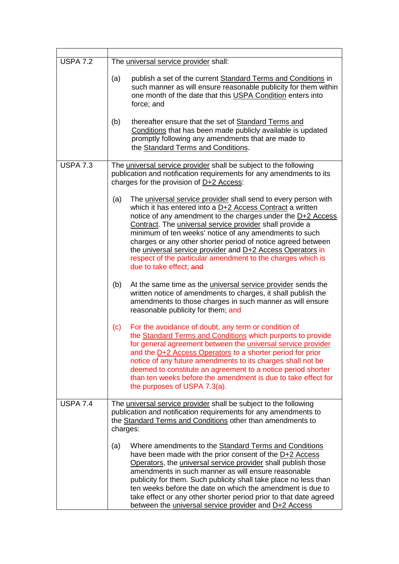| <b>USPA 7.2</b> | The universal service provider shall:                                                                                                                                                                                                                                                                                                                                                                                                                                                                                                           |  |
|-----------------|-------------------------------------------------------------------------------------------------------------------------------------------------------------------------------------------------------------------------------------------------------------------------------------------------------------------------------------------------------------------------------------------------------------------------------------------------------------------------------------------------------------------------------------------------|--|
|                 | publish a set of the current Standard Terms and Conditions in<br>(a)<br>such manner as will ensure reasonable publicity for them within<br>one month of the date that this USPA Condition enters into<br>force; and                                                                                                                                                                                                                                                                                                                             |  |
|                 | thereafter ensure that the set of Standard Terms and<br>(b)<br>Conditions that has been made publicly available is updated<br>promptly following any amendments that are made to<br>the Standard Terms and Conditions.                                                                                                                                                                                                                                                                                                                          |  |
| <b>USPA 7.3</b> | The universal service provider shall be subject to the following<br>publication and notification requirements for any amendments to its<br>charges for the provision of $D+2$ Access:                                                                                                                                                                                                                                                                                                                                                           |  |
|                 | The universal service provider shall send to every person with<br>(a)<br>which it has entered into a D+2 Access Contract a written<br>notice of any amendment to the charges under the D+2 Access<br>Contract. The universal service provider shall provide a<br>minimum of ten weeks' notice of any amendments to such<br>charges or any other shorter period of notice agreed between<br>the universal service provider and D+2 Access Operators in<br>respect of the particular amendment to the charges which is<br>due to take effect; and |  |
|                 | At the same time as the <i>universal service provider</i> sends the<br>(b)<br>written notice of amendments to charges, it shall publish the<br>amendments to those charges in such manner as will ensure<br>reasonable publicity for them; and                                                                                                                                                                                                                                                                                                  |  |
|                 | For the avoidance of doubt, any term or condition of<br>(c)<br>the Standard Terms and Conditions which purports to provide<br>for general agreement between the universal service provider<br>and the D+2 Access Operators to a shorter period for prior<br>notice of any future amendments to its charges shall not be<br>deemed to constitute an agreement to a notice period shorter<br>than ten weeks before the amendment is due to take effect for<br>the purposes of USPA 7.3(a).                                                        |  |
| <b>USPA 7.4</b> | The universal service provider shall be subject to the following<br>publication and notification requirements for any amendments to<br>the Standard Terms and Conditions other than amendments to<br>charges:                                                                                                                                                                                                                                                                                                                                   |  |
|                 | Where amendments to the Standard Terms and Conditions<br>(a)<br>have been made with the prior consent of the D+2 Access<br>Operators, the universal service provider shall publish those<br>amendments in such manner as will ensure reasonable<br>publicity for them. Such publicity shall take place no less than<br>ten weeks before the date on which the amendment is due to<br>take effect or any other shorter period prior to that date agreed<br>between the <i>universal service provider</i> and D+2 Access                          |  |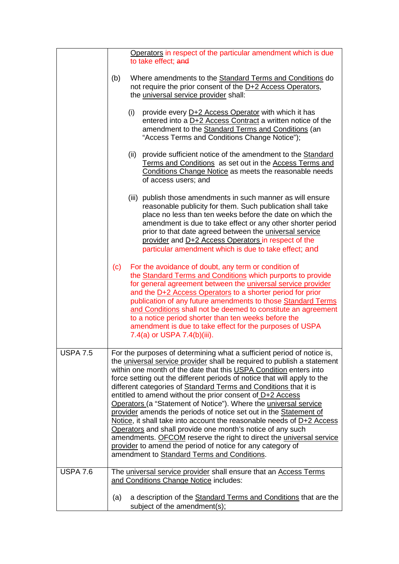|                 | Operators in respect of the particular amendment which is due                                                                                                                                                                                                                                                                                                                                                                                                                                                                                                                                                                                                                                                                                                                                                                                                                                             |
|-----------------|-----------------------------------------------------------------------------------------------------------------------------------------------------------------------------------------------------------------------------------------------------------------------------------------------------------------------------------------------------------------------------------------------------------------------------------------------------------------------------------------------------------------------------------------------------------------------------------------------------------------------------------------------------------------------------------------------------------------------------------------------------------------------------------------------------------------------------------------------------------------------------------------------------------|
|                 | to take effect; and                                                                                                                                                                                                                                                                                                                                                                                                                                                                                                                                                                                                                                                                                                                                                                                                                                                                                       |
|                 | (b)<br>Where amendments to the Standard Terms and Conditions do<br>not require the prior consent of the D+2 Access Operators,<br>the universal service provider shall:                                                                                                                                                                                                                                                                                                                                                                                                                                                                                                                                                                                                                                                                                                                                    |
|                 | (i)<br>provide every D+2 Access Operator with which it has<br>entered into a D+2 Access Contract a written notice of the<br>amendment to the Standard Terms and Conditions (an<br>"Access Terms and Conditions Change Notice");                                                                                                                                                                                                                                                                                                                                                                                                                                                                                                                                                                                                                                                                           |
|                 | (ii)<br>provide sufficient notice of the amendment to the Standard<br>Terms and Conditions as set out in the Access Terms and<br>Conditions Change Notice as meets the reasonable needs<br>of access users; and                                                                                                                                                                                                                                                                                                                                                                                                                                                                                                                                                                                                                                                                                           |
|                 | (iii) publish those amendments in such manner as will ensure<br>reasonable publicity for them. Such publication shall take<br>place no less than ten weeks before the date on which the<br>amendment is due to take effect or any other shorter period<br>prior to that date agreed between the universal service<br>provider and D+2 Access Operators in respect of the<br>particular amendment which is due to take effect; and                                                                                                                                                                                                                                                                                                                                                                                                                                                                         |
|                 | For the avoidance of doubt, any term or condition of<br>(c)<br>the Standard Terms and Conditions which purports to provide<br>for general agreement between the <i>universal service</i> provider<br>and the D+2 Access Operators to a shorter period for prior<br>publication of any future amendments to those Standard Terms<br>and Conditions shall not be deemed to constitute an agreement<br>to a notice period shorter than ten weeks before the<br>amendment is due to take effect for the purposes of USPA<br>7.4(a) or USPA 7.4(b)(iii).                                                                                                                                                                                                                                                                                                                                                       |
| <b>USPA 7.5</b> | For the purposes of determining what a sufficient period of notice is,<br>the universal service provider shall be required to publish a statement<br>within one month of the date that this USPA Condition enters into<br>force setting out the different periods of notice that will apply to the<br>different categories of Standard Terms and Conditions that it is<br>entitled to amend without the prior consent of D+2 Access<br>Operators (a "Statement of Notice"). Where the universal service<br>provider amends the periods of notice set out in the Statement of<br>Notice, it shall take into account the reasonable needs of $D+2$ Access<br>Operators and shall provide one month's notice of any such<br>amendments. OFCOM reserve the right to direct the universal service<br>provider to amend the period of notice for any category of<br>amendment to Standard Terms and Conditions. |
| <b>USPA 7.6</b> | The universal service provider shall ensure that an Access Terms<br>and Conditions Change Notice includes:<br>a description of the Standard Terms and Conditions that are the<br>(a)<br>subject of the amendment(s);                                                                                                                                                                                                                                                                                                                                                                                                                                                                                                                                                                                                                                                                                      |